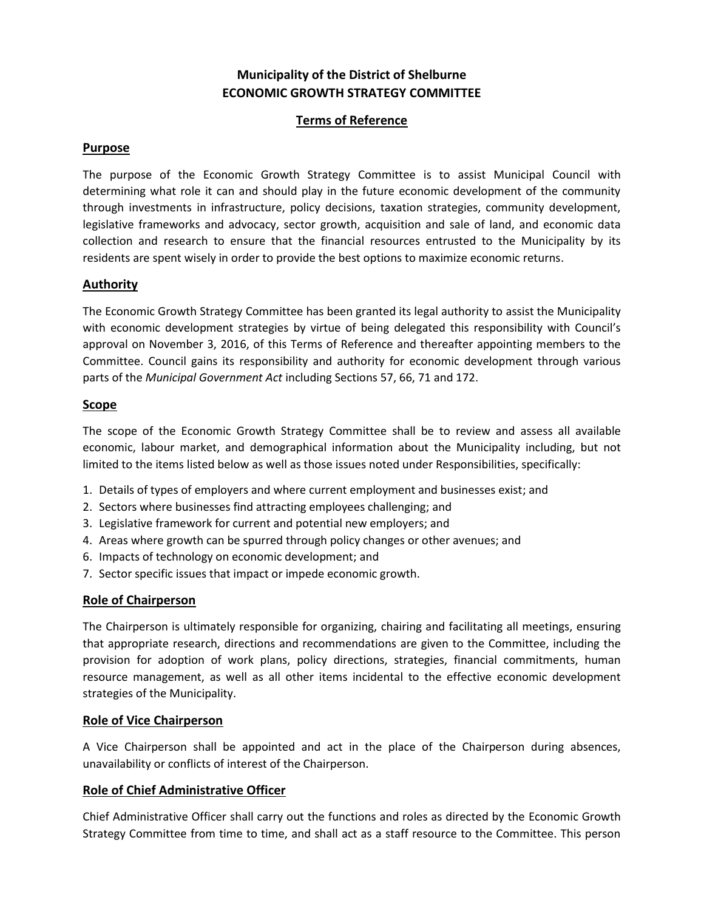# **Municipality of the District of Shelburne ECONOMIC GROWTH STRATEGY COMMITTEE**

# **Terms of Reference**

# **Purpose**

The purpose of the Economic Growth Strategy Committee is to assist Municipal Council with determining what role it can and should play in the future economic development of the community through investments in infrastructure, policy decisions, taxation strategies, community development, legislative frameworks and advocacy, sector growth, acquisition and sale of land, and economic data collection and research to ensure that the financial resources entrusted to the Municipality by its residents are spent wisely in order to provide the best options to maximize economic returns.

# **Authority**

The Economic Growth Strategy Committee has been granted its legal authority to assist the Municipality with economic development strategies by virtue of being delegated this responsibility with Council's approval on November 3, 2016, of this Terms of Reference and thereafter appointing members to the Committee. Council gains its responsibility and authority for economic development through various parts of the *Municipal Government Act* including Sections 57, 66, 71 and 172.

#### **Scope**

The scope of the Economic Growth Strategy Committee shall be to review and assess all available economic, labour market, and demographical information about the Municipality including, but not limited to the items listed below as well as those issues noted under Responsibilities, specifically:

- 1. Details of types of employers and where current employment and businesses exist; and
- 2. Sectors where businesses find attracting employees challenging; and
- 3. Legislative framework for current and potential new employers; and
- 4. Areas where growth can be spurred through policy changes or other avenues; and
- 6. Impacts of technology on economic development; and
- 7. Sector specific issues that impact or impede economic growth.

#### **Role of Chairperson**

The Chairperson is ultimately responsible for organizing, chairing and facilitating all meetings, ensuring that appropriate research, directions and recommendations are given to the Committee, including the provision for adoption of work plans, policy directions, strategies, financial commitments, human resource management, as well as all other items incidental to the effective economic development strategies of the Municipality.

#### **Role of Vice Chairperson**

A Vice Chairperson shall be appointed and act in the place of the Chairperson during absences, unavailability or conflicts of interest of the Chairperson.

# **Role of Chief Administrative Officer**

Chief Administrative Officer shall carry out the functions and roles as directed by the Economic Growth Strategy Committee from time to time, and shall act as a staff resource to the Committee. This person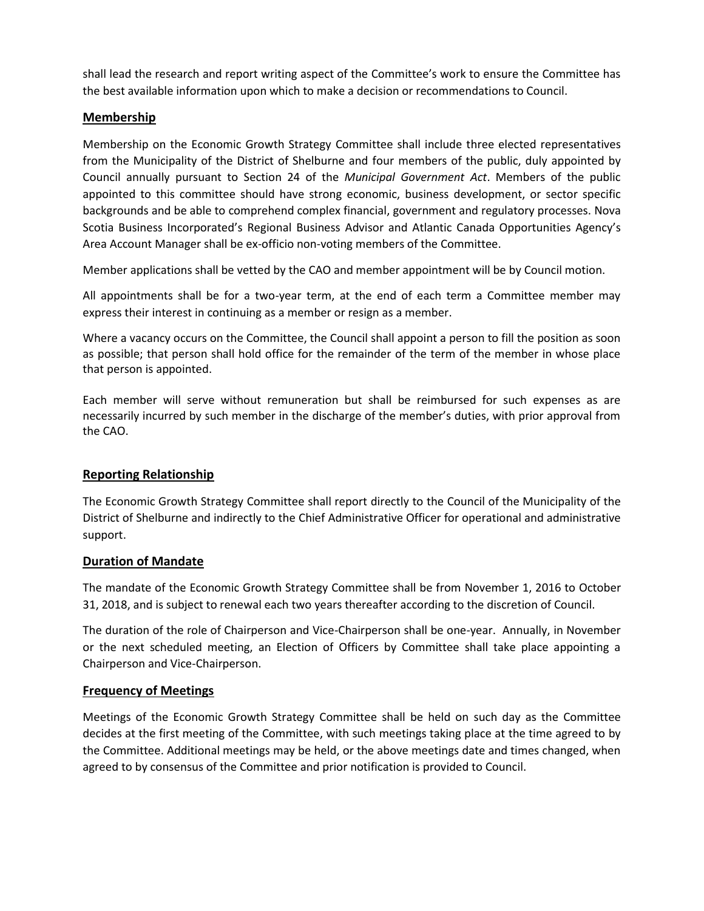shall lead the research and report writing aspect of the Committee's work to ensure the Committee has the best available information upon which to make a decision or recommendations to Council.

# **Membership**

Membership on the Economic Growth Strategy Committee shall include three elected representatives from the Municipality of the District of Shelburne and four members of the public, duly appointed by Council annually pursuant to Section 24 of the *Municipal Government Act*. Members of the public appointed to this committee should have strong economic, business development, or sector specific backgrounds and be able to comprehend complex financial, government and regulatory processes. Nova Scotia Business Incorporated's Regional Business Advisor and Atlantic Canada Opportunities Agency's Area Account Manager shall be ex-officio non-voting members of the Committee.

Member applications shall be vetted by the CAO and member appointment will be by Council motion.

All appointments shall be for a two-year term, at the end of each term a Committee member may express their interest in continuing as a member or resign as a member.

Where a vacancy occurs on the Committee, the Council shall appoint a person to fill the position as soon as possible; that person shall hold office for the remainder of the term of the member in whose place that person is appointed.

Each member will serve without remuneration but shall be reimbursed for such expenses as are necessarily incurred by such member in the discharge of the member's duties, with prior approval from the CAO.

# **Reporting Relationship**

The Economic Growth Strategy Committee shall report directly to the Council of the Municipality of the District of Shelburne and indirectly to the Chief Administrative Officer for operational and administrative support.

# **Duration of Mandate**

The mandate of the Economic Growth Strategy Committee shall be from November 1, 2016 to October 31, 2018, and is subject to renewal each two years thereafter according to the discretion of Council.

The duration of the role of Chairperson and Vice-Chairperson shall be one-year. Annually, in November or the next scheduled meeting, an Election of Officers by Committee shall take place appointing a Chairperson and Vice-Chairperson.

# **Frequency of Meetings**

Meetings of the Economic Growth Strategy Committee shall be held on such day as the Committee decides at the first meeting of the Committee, with such meetings taking place at the time agreed to by the Committee. Additional meetings may be held, or the above meetings date and times changed, when agreed to by consensus of the Committee and prior notification is provided to Council.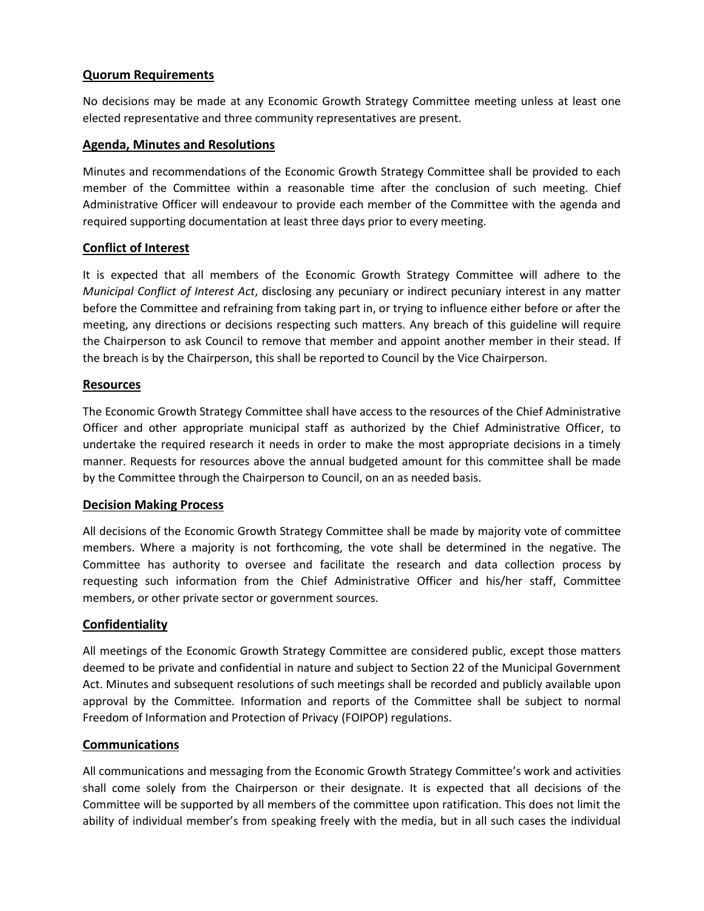# **Quorum Requirements**

No decisions may be made at any Economic Growth Strategy Committee meeting unless at least one elected representative and three community representatives are present.

### **Agenda, Minutes and Resolutions**

Minutes and recommendations of the Economic Growth Strategy Committee shall be provided to each member of the Committee within a reasonable time after the conclusion of such meeting. Chief Administrative Officer will endeavour to provide each member of the Committee with the agenda and required supporting documentation at least three days prior to every meeting.

#### **Conflict of Interest**

It is expected that all members of the Economic Growth Strategy Committee will adhere to the *Municipal Conflict of Interest Act*, disclosing any pecuniary or indirect pecuniary interest in any matter before the Committee and refraining from taking part in, or trying to influence either before or after the meeting, any directions or decisions respecting such matters. Any breach of this guideline will require the Chairperson to ask Council to remove that member and appoint another member in their stead. If the breach is by the Chairperson, this shall be reported to Council by the Vice Chairperson.

#### **Resources**

The Economic Growth Strategy Committee shall have access to the resources of the Chief Administrative Officer and other appropriate municipal staff as authorized by the Chief Administrative Officer, to undertake the required research it needs in order to make the most appropriate decisions in a timely manner. Requests for resources above the annual budgeted amount for this committee shall be made by the Committee through the Chairperson to Council, on an as needed basis.

#### **Decision Making Process**

All decisions of the Economic Growth Strategy Committee shall be made by majority vote of committee members. Where a majority is not forthcoming, the vote shall be determined in the negative. The Committee has authority to oversee and facilitate the research and data collection process by requesting such information from the Chief Administrative Officer and his/her staff, Committee members, or other private sector or government sources.

# **Confidentiality**

All meetings of the Economic Growth Strategy Committee are considered public, except those matters deemed to be private and confidential in nature and subject to Section 22 of the Municipal Government Act. Minutes and subsequent resolutions of such meetings shall be recorded and publicly available upon approval by the Committee. Information and reports of the Committee shall be subject to normal Freedom of Information and Protection of Privacy (FOIPOP) regulations.

#### **Communications**

All communications and messaging from the Economic Growth Strategy Committee's work and activities shall come solely from the Chairperson or their designate. It is expected that all decisions of the Committee will be supported by all members of the committee upon ratification. This does not limit the ability of individual member's from speaking freely with the media, but in all such cases the individual